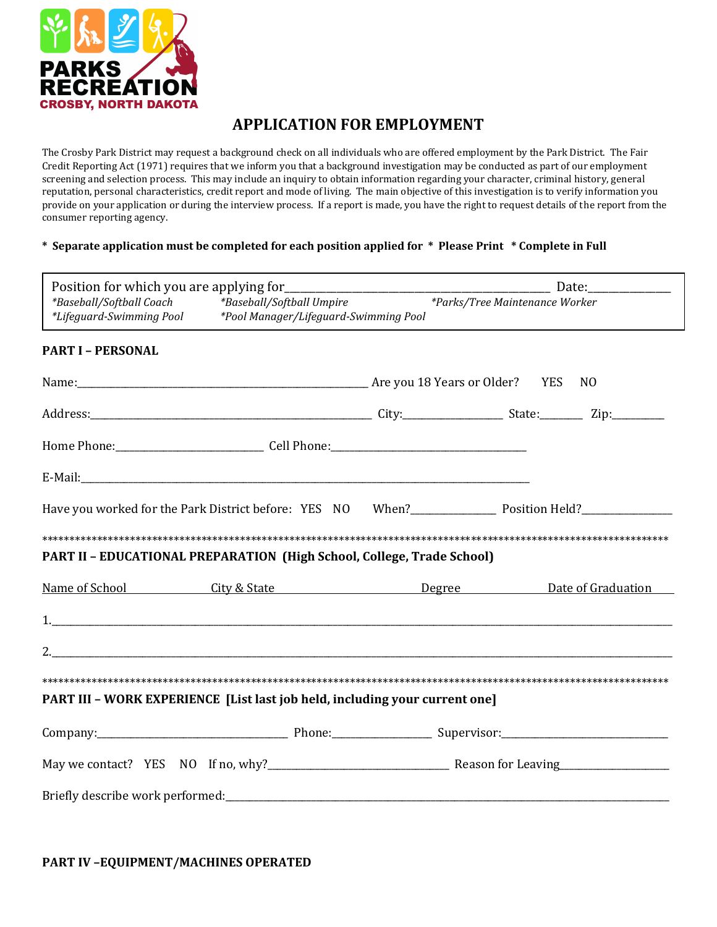

## **APPLICATION FOR EMPLOYMENT**

The Crosby Park District may request a background check on all individuals who are offered employment by the Park District. The Fair Credit Reporting Act (1971) requires that we inform you that a background investigation may be conducted as part of our employment screening and selection process. This may include an inquiry to obtain information regarding your character, criminal history, general reputation, personal characteristics, credit report and mode of living. The main objective of this investigation is to verify information you provide on your application or during the interview process. If a report is made, you have the right to request details of the report from the consumer reporting agency.

## **\* Separate application must be completed for each position applied for \* Please Print \* Complete in Full**

|                                                                                            |                           | <u>_______</u> Date:________________ |                                                                           |  |  |  |
|--------------------------------------------------------------------------------------------|---------------------------|--------------------------------------|---------------------------------------------------------------------------|--|--|--|
| *Baseball/Softball Coach<br>*Lifeguard-Swimming Pool *Pool Manager/Lifeguard-Swimming Pool | *Baseball/Softball Umpire |                                      | *Parks/Tree Maintenance Worker                                            |  |  |  |
| <b>PART I - PERSONAL</b>                                                                   |                           |                                      |                                                                           |  |  |  |
|                                                                                            |                           | N <sub>0</sub>                       |                                                                           |  |  |  |
|                                                                                            |                           |                                      |                                                                           |  |  |  |
|                                                                                            |                           |                                      |                                                                           |  |  |  |
|                                                                                            |                           |                                      |                                                                           |  |  |  |
|                                                                                            |                           |                                      | Have you worked for the Park District before: YES NO When? Position Held? |  |  |  |
| PART II - EDUCATIONAL PREPARATION (High School, College, Trade School)                     |                           |                                      |                                                                           |  |  |  |
|                                                                                            |                           |                                      | <u>Name of School City &amp; State Degree Degree Date of Graduation</u>   |  |  |  |
|                                                                                            |                           |                                      |                                                                           |  |  |  |
| 2.                                                                                         |                           |                                      |                                                                           |  |  |  |
| PART III - WORK EXPERIENCE [List last job held, including your current one]                |                           |                                      |                                                                           |  |  |  |
|                                                                                            |                           |                                      |                                                                           |  |  |  |
|                                                                                            |                           |                                      |                                                                           |  |  |  |
|                                                                                            |                           |                                      |                                                                           |  |  |  |

**PART IV –EQUIPMENT/MACHINES OPERATED**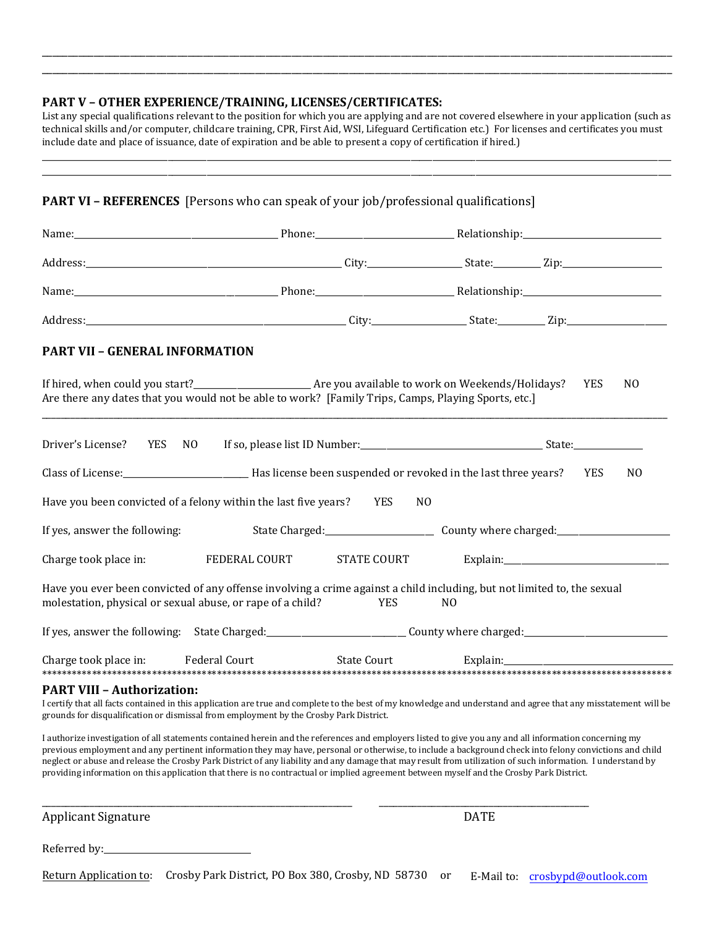## **PART V – OTHER EXPERIENCE/TRAINING, LICENSES/CERTIFICATES:**

List any special qualifications relevant to the position for which you are applying and are not covered elsewhere in your application (such as technical skills and/or computer, childcare training, CPR, First Aid, WSI, Lifeguard Certification etc.) For licenses and certificates you must include date and place of issuance, date of expiration and be able to present a copy of certification if hired.)

\_\_\_\_\_\_\_\_\_\_\_\_\_\_\_\_\_\_\_\_\_\_\_\_\_\_\_\_\_\_\_\_\_\_\_\_\_\_\_\_\_\_\_\_\_\_\_\_\_\_\_\_\_\_\_\_\_\_\_\_\_\_\_\_\_\_\_\_\_\_\_\_\_\_\_\_\_\_\_\_\_\_\_\_\_\_\_\_\_\_\_\_\_\_\_\_\_\_\_\_\_\_\_\_\_\_\_\_\_\_\_\_\_\_\_\_\_\_\_\_\_\_\_\_\_\_\_\_\_\_\_\_\_\_\_\_\_\_\_\_\_\_\_\_\_

\_\_\_\_\_\_\_\_\_\_\_\_\_\_\_\_\_\_\_\_\_\_\_\_\_\_\_\_\_\_\_\_\_\_\_\_\_\_\_\_\_\_\_\_\_\_\_\_\_\_\_\_\_\_\_\_\_\_\_\_\_\_\_\_\_\_\_\_\_\_\_\_\_\_\_\_\_\_\_\_\_\_\_\_\_\_\_\_\_\_\_\_\_\_\_\_\_\_\_\_\_\_\_\_\_\_\_\_\_\_\_\_\_\_\_\_\_\_\_\_\_ \_\_\_\_\_\_\_\_\_\_\_\_\_\_\_\_\_\_\_\_\_\_\_\_\_\_\_\_\_\_\_\_\_\_\_\_\_\_\_\_\_\_\_\_\_\_\_\_\_\_\_\_\_\_\_\_\_\_\_\_\_\_\_\_\_\_\_\_\_\_\_\_\_\_\_\_\_\_\_\_\_\_\_\_\_\_\_\_\_\_\_\_\_\_\_\_\_\_\_\_\_\_\_\_\_\_\_\_\_\_\_\_\_\_\_\_\_\_\_\_\_

| <b>PART VII - GENERAL INFORMATION</b>                                                                                                                                                                                                                                                                                                                                                                                                                                            |  |                    |                |  |            |                |  |
|----------------------------------------------------------------------------------------------------------------------------------------------------------------------------------------------------------------------------------------------------------------------------------------------------------------------------------------------------------------------------------------------------------------------------------------------------------------------------------|--|--------------------|----------------|--|------------|----------------|--|
| Are there any dates that you would not be able to work? [Family Trips, Camps, Playing Sports, etc.]                                                                                                                                                                                                                                                                                                                                                                              |  |                    |                |  | <b>YES</b> | N <sub>0</sub> |  |
| Driver's License?<br>YES                                                                                                                                                                                                                                                                                                                                                                                                                                                         |  |                    |                |  |            |                |  |
| Class of License:<br><u>Class of License:</u> <u> TES</u> <b>EXELECT: EXELECT: EXELECT: EXELECT: EXELECT: EXELECT: EXELECT: EXELECT: EXELECT: EXELECT: EXELECT: EXELECT: EXELECT: EXELECT: EXELEC</b>                                                                                                                                                                                                                                                                            |  |                    |                |  |            | N <sub>0</sub> |  |
| Have you been convicted of a felony within the last five years? YES                                                                                                                                                                                                                                                                                                                                                                                                              |  |                    | N <sub>0</sub> |  |            |                |  |
|                                                                                                                                                                                                                                                                                                                                                                                                                                                                                  |  |                    |                |  |            |                |  |
| Charge took place in: FEDERAL COURT                                                                                                                                                                                                                                                                                                                                                                                                                                              |  | <b>STATE COURT</b> |                |  |            |                |  |
| Have you ever been convicted of any offense involving a crime against a child including, but not limited to, the sexual<br>molestation, physical or sexual abuse, or rape of a child?                                                                                                                                                                                                                                                                                            |  | <b>YES</b>         | N <sub>0</sub> |  |            |                |  |
|                                                                                                                                                                                                                                                                                                                                                                                                                                                                                  |  |                    |                |  |            |                |  |
| <b>Federal Court</b><br>Charge took place in:                                                                                                                                                                                                                                                                                                                                                                                                                                    |  | <b>State Court</b> | Explain:       |  |            |                |  |
| <b>PART VIII - Authorization:</b><br>I certify that all facts contained in this application are true and complete to the best of my knowledge and understand and agree that any misstatement will be<br>grounds for disqualification or dismissal from employment by the Crosby Park District.                                                                                                                                                                                   |  |                    |                |  |            |                |  |
| I authorize investigation of all statements contained herein and the references and employers listed to give you any and all information concerning my<br>previous employment and any pertinent information they may have, personal or otherwise, to include a background check into felony convictions and child<br>neglect or abuse and release the Crosby Park District of any liability and any damage that may result from utilization of such information. I understand by |  |                    |                |  |            |                |  |
| providing information on this application that there is no contractual or implied agreement between myself and the Crosby Park District.                                                                                                                                                                                                                                                                                                                                         |  |                    |                |  |            |                |  |